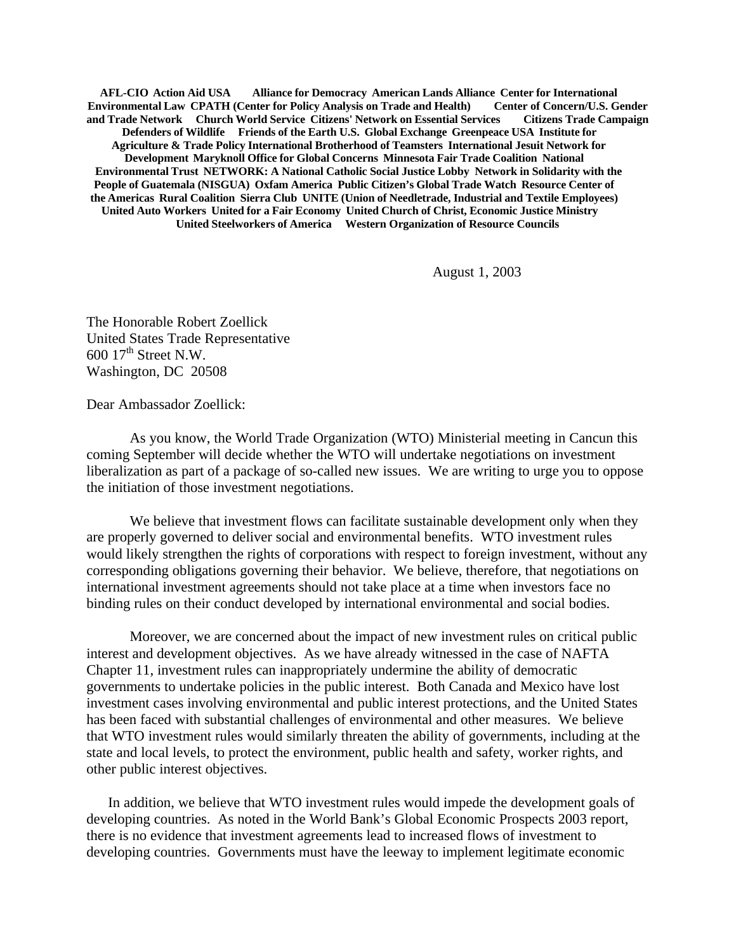**AFL-CIO Action Aid USA Alliance for Democracy American Lands Alliance Center for International Environmental Law CPATH (Center for Policy Analysis on Trade and Health) and Trade Network Church World Service Citizens' Network on Essential Services Citizens Trade Campaign Defenders of Wildlife Friends of the Earth U.S. Global Exchange Greenpeace USA Institute for Agriculture & Trade Policy International Brotherhood of Teamsters International Jesuit Network for Development Maryknoll Office for Global Concerns Minnesota Fair Trade Coalition National Environmental Trust NETWORK: A National Catholic Social Justice Lobby Network in Solidarity with the People of Guatemala (NISGUA) Oxfam America Public Citizen's Global Trade Watch Resource Center of the Americas Rural Coalition Sierra Club UNITE (Union of Needletrade, Industrial and Textile Employees) United Auto Workers United for a Fair Economy United Church of Christ, Economic Justice Ministry United Steelworkers of America Western Organization of Resource Councils**

August 1, 2003

The Honorable Robert Zoellick United States Trade Representative  $600 \frac{17^{\text{th}}}{\text{Street } N.W.}$ Washington, DC 20508

Dear Ambassador Zoellick:

As you know, the World Trade Organization (WTO) Ministerial meeting in Cancun this coming September will decide whether the WTO will undertake negotiations on investment liberalization as part of a package of so-called new issues. We are writing to urge you to oppose the initiation of those investment negotiations.

We believe that investment flows can facilitate sustainable development only when they are properly governed to deliver social and environmental benefits. WTO investment rules would likely strengthen the rights of corporations with respect to foreign investment, without any corresponding obligations governing their behavior. We believe, therefore, that negotiations on international investment agreements should not take place at a time when investors face no binding rules on their conduct developed by international environmental and social bodies.

Moreover, we are concerned about the impact of new investment rules on critical public interest and development objectives. As we have already witnessed in the case of NAFTA Chapter 11, investment rules can inappropriately undermine the ability of democratic governments to undertake policies in the public interest. Both Canada and Mexico have lost investment cases involving environmental and public interest protections, and the United States has been faced with substantial challenges of environmental and other measures. We believe that WTO investment rules would similarly threaten the ability of governments, including at the state and local levels, to protect the environment, public health and safety, worker rights, and other public interest objectives.

In addition, we believe that WTO investment rules would impede the development goals of developing countries. As noted in the World Bank's Global Economic Prospects 2003 report, there is no evidence that investment agreements lead to increased flows of investment to developing countries. Governments must have the leeway to implement legitimate economic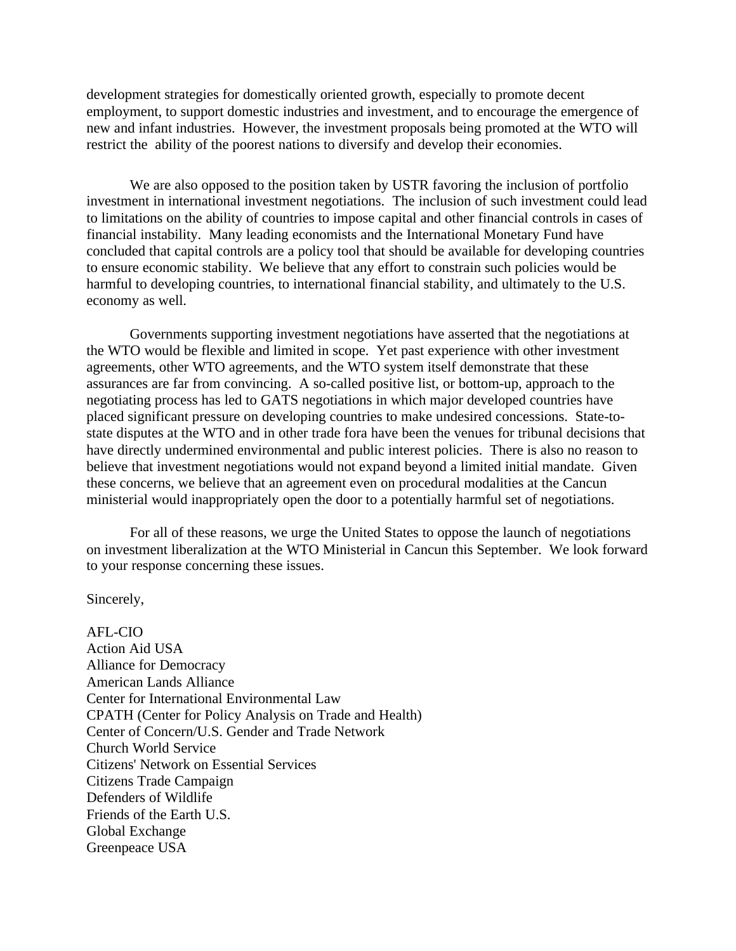development strategies for domestically oriented growth, especially to promote decent employment, to support domestic industries and investment, and to encourage the emergence of new and infant industries. However, the investment proposals being promoted at the WTO will restrict the ability of the poorest nations to diversify and develop their economies.

We are also opposed to the position taken by USTR favoring the inclusion of portfolio investment in international investment negotiations. The inclusion of such investment could lead to limitations on the ability of countries to impose capital and other financial controls in cases of financial instability. Many leading economists and the International Monetary Fund have concluded that capital controls are a policy tool that should be available for developing countries to ensure economic stability. We believe that any effort to constrain such policies would be harmful to developing countries, to international financial stability, and ultimately to the U.S. economy as well.

Governments supporting investment negotiations have asserted that the negotiations at the WTO would be flexible and limited in scope. Yet past experience with other investment agreements, other WTO agreements, and the WTO system itself demonstrate that these assurances are far from convincing. A so-called positive list, or bottom-up, approach to the negotiating process has led to GATS negotiations in which major developed countries have placed significant pressure on developing countries to make undesired concessions. State-tostate disputes at the WTO and in other trade fora have been the venues for tribunal decisions that have directly undermined environmental and public interest policies. There is also no reason to believe that investment negotiations would not expand beyond a limited initial mandate. Given these concerns, we believe that an agreement even on procedural modalities at the Cancun ministerial would inappropriately open the door to a potentially harmful set of negotiations.

For all of these reasons, we urge the United States to oppose the launch of negotiations on investment liberalization at the WTO Ministerial in Cancun this September. We look forward to your response concerning these issues.

Sincerely,

AFL-CIO Action Aid USA Alliance for Democracy American Lands Alliance Center for International Environmental Law CPATH (Center for Policy Analysis on Trade and Health) Center of Concern/U.S. Gender and Trade Network Church World Service Citizens' Network on Essential Services Citizens Trade Campaign Defenders of Wildlife Friends of the Earth U.S. Global Exchange Greenpeace USA